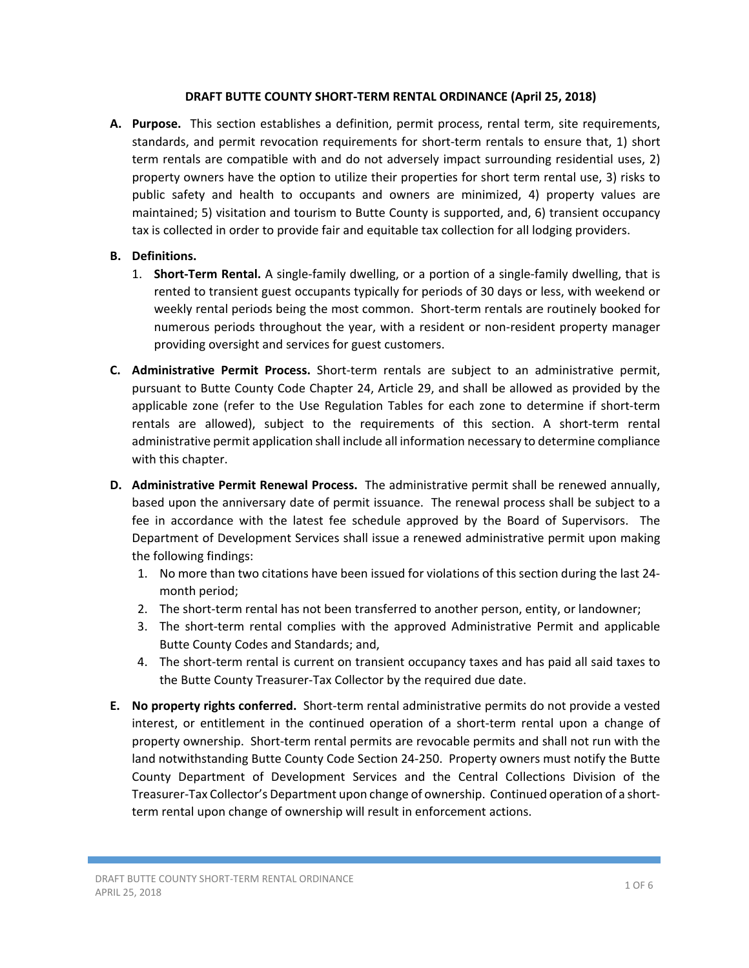## **DRAFT BUTTE COUNTY SHORT‐TERM RENTAL ORDINANCE (April 25, 2018)**

- A. Purpose. This section establishes a definition, permit process, rental term, site requirements, standards, and permit revocation requirements for short-term rentals to ensure that, 1) short term rentals are compatible with and do not adversely impact surrounding residential uses, 2) property owners have the option to utilize their properties for short term rental use, 3) risks to public safety and health to occupants and owners are minimized, 4) property values are maintained; 5) visitation and tourism to Butte County is supported, and, 6) transient occupancy tax is collected in order to provide fair and equitable tax collection for all lodging providers.
- **B. Definitions.**
	- 1. **Short-Term Rental.** A single-family dwelling, or a portion of a single-family dwelling, that is rented to transient guest occupants typically for periods of 30 days or less, with weekend or weekly rental periods being the most common. Short-term rentals are routinely booked for numerous periods throughout the year, with a resident or non‐resident property manager providing oversight and services for guest customers.
- **C. Administrative Permit Process.** Short‐term rentals are subject to an administrative permit, pursuant to Butte County Code Chapter 24, Article 29, and shall be allowed as provided by the applicable zone (refer to the Use Regulation Tables for each zone to determine if short-term rentals are allowed), subject to the requirements of this section. A short-term rental administrative permit application shall include all information necessary to determine compliance with this chapter.
- **D. Administrative Permit Renewal Process.** The administrative permit shall be renewed annually, based upon the anniversary date of permit issuance. The renewal process shall be subject to a fee in accordance with the latest fee schedule approved by the Board of Supervisors. The Department of Development Services shall issue a renewed administrative permit upon making the following findings:
	- 1. No more than two citations have been issued for violations of this section during the last 24‐ month period;
	- 2. The short-term rental has not been transferred to another person, entity, or landowner;
	- 3. The short-term rental complies with the approved Administrative Permit and applicable Butte County Codes and Standards; and,
	- 4. The short-term rental is current on transient occupancy taxes and has paid all said taxes to the Butte County Treasurer‐Tax Collector by the required due date.
- **E. No property rights conferred.** Short‐term rental administrative permits do not provide a vested interest, or entitlement in the continued operation of a short-term rental upon a change of property ownership. Short‐term rental permits are revocable permits and shall not run with the land notwithstanding Butte County Code Section 24‐250. Property owners must notify the Butte County Department of Development Services and the Central Collections Division of the Treasurer‐Tax Collector's Department upon change of ownership. Continued operation of a short‐ term rental upon change of ownership will result in enforcement actions.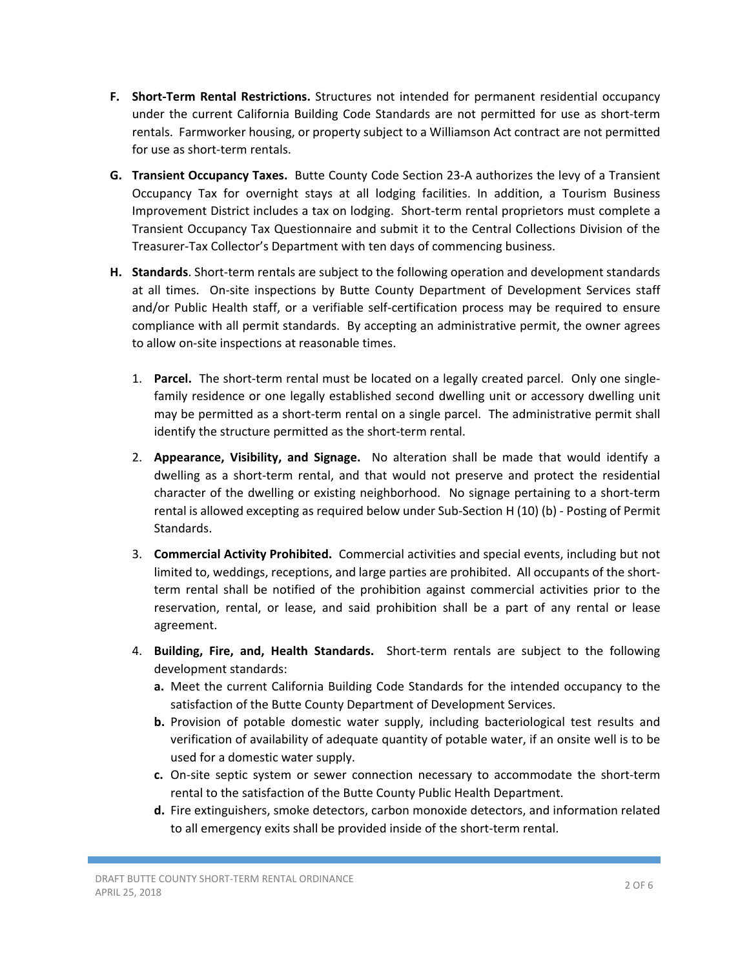- **F. Short-Term Rental Restrictions.** Structures not intended for permanent residential occupancy under the current California Building Code Standards are not permitted for use as short-term rentals. Farmworker housing, or property subject to a Williamson Act contract are not permitted for use as short‐term rentals.
- **G. Transient Occupancy Taxes.** Butte County Code Section 23‐A authorizes the levy of a Transient Occupancy Tax for overnight stays at all lodging facilities. In addition, a Tourism Business Improvement District includes a tax on lodging. Short‐term rental proprietors must complete a Transient Occupancy Tax Questionnaire and submit it to the Central Collections Division of the Treasurer‐Tax Collector's Department with ten days of commencing business.
- **H. Standards**. Short‐term rentals are subject to the following operation and development standards at all times. On-site inspections by Butte County Department of Development Services staff and/or Public Health staff, or a verifiable self-certification process may be required to ensure compliance with all permit standards. By accepting an administrative permit, the owner agrees to allow on‐site inspections at reasonable times.
	- 1. **Parcel.** The short-term rental must be located on a legally created parcel. Only one singlefamily residence or one legally established second dwelling unit or accessory dwelling unit may be permitted as a short-term rental on a single parcel. The administrative permit shall identify the structure permitted as the short‐term rental.
	- 2. **Appearance, Visibility, and Signage.** No alteration shall be made that would identify a dwelling as a short-term rental, and that would not preserve and protect the residential character of the dwelling or existing neighborhood. No signage pertaining to a short‐term rental is allowed excepting as required below under Sub‐Section H (10) (b) ‐ Posting of Permit Standards.
	- 3. **Commercial Activity Prohibited.** Commercial activities and special events, including but not limited to, weddings, receptions, and large parties are prohibited. All occupants of the short‐ term rental shall be notified of the prohibition against commercial activities prior to the reservation, rental, or lease, and said prohibition shall be a part of any rental or lease agreement.
	- 4. **Building, Fire, and, Health Standards.** Short‐term rentals are subject to the following development standards:
		- **a.** Meet the current California Building Code Standards for the intended occupancy to the satisfaction of the Butte County Department of Development Services.
		- **b.** Provision of potable domestic water supply, including bacteriological test results and verification of availability of adequate quantity of potable water, if an onsite well is to be used for a domestic water supply.
		- **c.** On‐site septic system or sewer connection necessary to accommodate the short‐term rental to the satisfaction of the Butte County Public Health Department.
		- **d.** Fire extinguishers, smoke detectors, carbon monoxide detectors, and information related to all emergency exits shall be provided inside of the short‐term rental.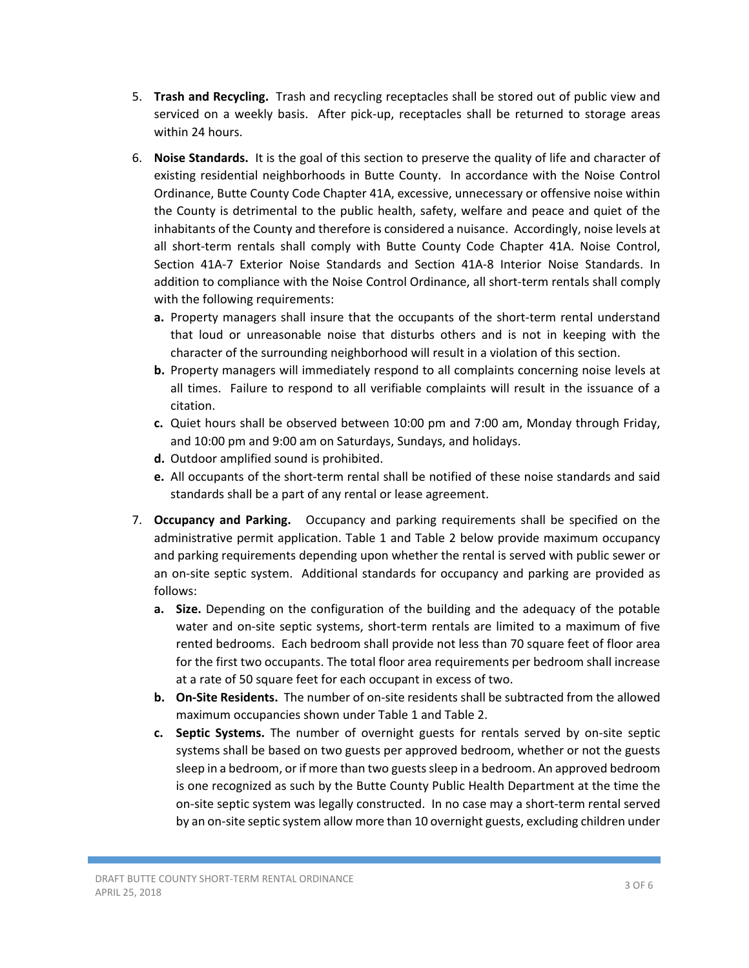- 5. **Trash and Recycling.** Trash and recycling receptacles shall be stored out of public view and serviced on a weekly basis. After pick-up, receptacles shall be returned to storage areas within 24 hours.
- 6. **Noise Standards.** It is the goal of this section to preserve the quality of life and character of existing residential neighborhoods in Butte County. In accordance with the Noise Control Ordinance, Butte County Code Chapter 41A, excessive, unnecessary or offensive noise within the County is detrimental to the public health, safety, welfare and peace and quiet of the inhabitants of the County and therefore is considered a nuisance. Accordingly, noise levels at all short-term rentals shall comply with Butte County Code Chapter 41A. Noise Control, Section 41A‐7 Exterior Noise Standards and Section 41A‐8 Interior Noise Standards. In addition to compliance with the Noise Control Ordinance, all short‐term rentals shall comply with the following requirements:
	- **a.** Property managers shall insure that the occupants of the short-term rental understand that loud or unreasonable noise that disturbs others and is not in keeping with the character of the surrounding neighborhood will result in a violation of this section.
	- **b.** Property managers will immediately respond to all complaints concerning noise levels at all times. Failure to respond to all verifiable complaints will result in the issuance of a citation.
	- **c.** Quiet hours shall be observed between 10:00 pm and 7:00 am, Monday through Friday, and 10:00 pm and 9:00 am on Saturdays, Sundays, and holidays.
	- **d.** Outdoor amplified sound is prohibited.
	- **e.** All occupants of the short‐term rental shall be notified of these noise standards and said standards shall be a part of any rental or lease agreement.
- 7. **Occupancy and Parking.** Occupancy and parking requirements shall be specified on the administrative permit application. Table 1 and Table 2 below provide maximum occupancy and parking requirements depending upon whether the rental is served with public sewer or an on‐site septic system. Additional standards for occupancy and parking are provided as follows:
	- **a. Size.** Depending on the configuration of the building and the adequacy of the potable water and on-site septic systems, short-term rentals are limited to a maximum of five rented bedrooms. Each bedroom shall provide not less than 70 square feet of floor area for the first two occupants. The total floor area requirements per bedroom shall increase at a rate of 50 square feet for each occupant in excess of two.
	- **b.** On-Site Residents. The number of on-site residents shall be subtracted from the allowed maximum occupancies shown under Table 1 and Table 2.
	- **c.** Septic Systems. The number of overnight guests for rentals served by on-site septic systems shall be based on two guests per approved bedroom, whether or not the guests sleep in a bedroom, or if more than two guests sleep in a bedroom. An approved bedroom is one recognized as such by the Butte County Public Health Department at the time the on-site septic system was legally constructed. In no case may a short-term rental served by an on‐site septic system allow more than 10 overnight guests, excluding children under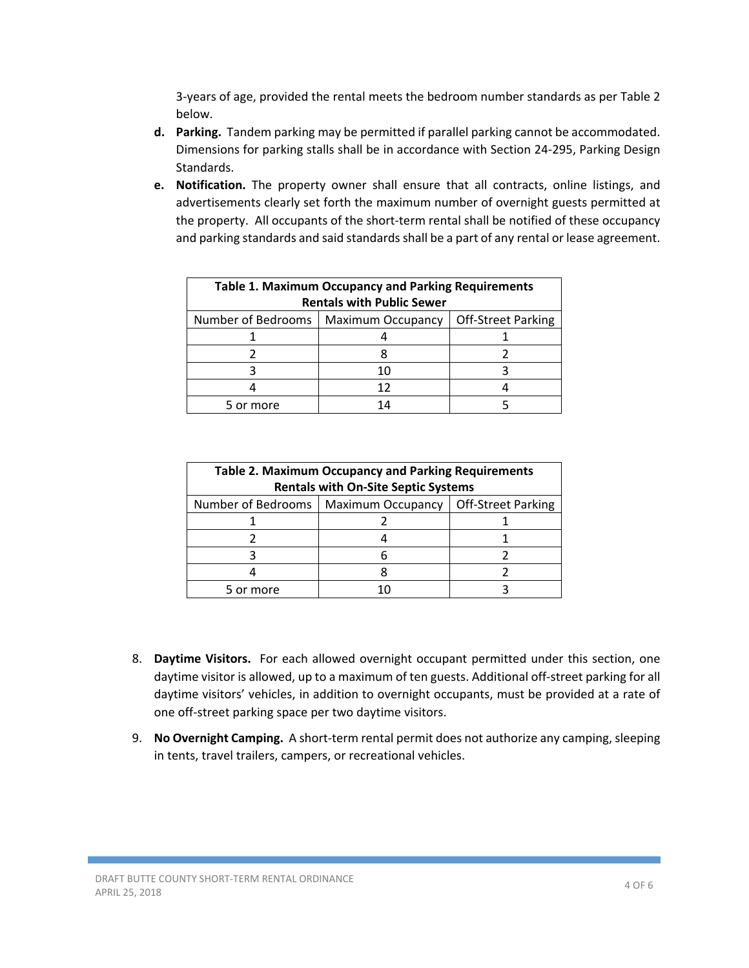3‐years of age, provided the rental meets the bedroom number standards as per Table 2 below.

- **d. Parking.** Tandem parking may be permitted if parallel parking cannot be accommodated. Dimensions for parking stalls shall be in accordance with Section 24‐295, Parking Design Standards.
- **e. Notification.**  The property owner shall ensure that all contracts, online listings, and advertisements clearly set forth the maximum number of overnight guests permitted at the property. All occupants of the short‐term rental shall be notified of these occupancy and parking standards and said standards shall be a part of any rental or lease agreement.

| <b>Table 1. Maximum Occupancy and Parking Requirements</b><br><b>Rentals with Public Sewer</b> |                          |                           |  |
|------------------------------------------------------------------------------------------------|--------------------------|---------------------------|--|
| Number of Bedrooms                                                                             | <b>Maximum Occupancy</b> | <b>Off-Street Parking</b> |  |
|                                                                                                |                          |                           |  |
|                                                                                                |                          |                           |  |
|                                                                                                |                          |                           |  |
|                                                                                                | 12                       |                           |  |
| 5 or more                                                                                      | $\Lambda$                |                           |  |

| <b>Table 2. Maximum Occupancy and Parking Requirements</b><br><b>Rentals with On-Site Septic Systems</b> |                                        |  |  |
|----------------------------------------------------------------------------------------------------------|----------------------------------------|--|--|
| Number of Bedrooms                                                                                       | Maximum Occupancy   Off-Street Parking |  |  |
|                                                                                                          |                                        |  |  |
|                                                                                                          |                                        |  |  |
|                                                                                                          |                                        |  |  |
|                                                                                                          |                                        |  |  |
| 5 or more                                                                                                |                                        |  |  |

- 8. **Daytime Visitors.** For each allowed overnight occupant permitted under this section, one daytime visitor is allowed, up to a maximum of ten guests. Additional off‐street parking for all daytime visitors' vehicles, in addition to overnight occupants, must be provided at a rate of one off‐street parking space per two daytime visitors.
- 9. **No Overnight Camping.** A short-term rental permit does not authorize any camping, sleeping in tents, travel trailers, campers, or recreational vehicles.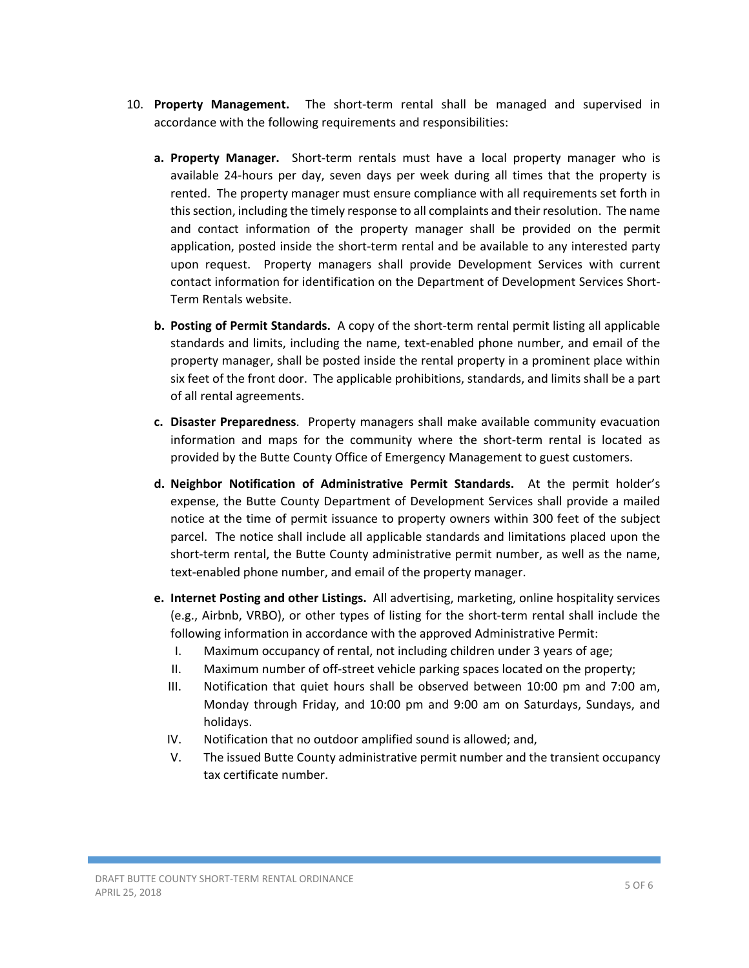- 10. **Property Management.** The short-term rental shall be managed and supervised in accordance with the following requirements and responsibilities:
	- **a. Property Manager.** Short-term rentals must have a local property manager who is available 24-hours per day, seven days per week during all times that the property is rented. The property manager must ensure compliance with all requirements set forth in this section, including the timely response to all complaints and their resolution. The name and contact information of the property manager shall be provided on the permit application, posted inside the short‐term rental and be available to any interested party upon request. Property managers shall provide Development Services with current contact information for identification on the Department of Development Services Short‐ Term Rentals website.
	- **b.** Posting of Permit Standards. A copy of the short-term rental permit listing all applicable standards and limits, including the name, text‐enabled phone number, and email of the property manager, shall be posted inside the rental property in a prominent place within six feet of the front door. The applicable prohibitions, standards, and limits shall be a part of all rental agreements.
	- **c. Disaster Preparedness**. Property managers shall make available community evacuation information and maps for the community where the short-term rental is located as provided by the Butte County Office of Emergency Management to guest customers.
	- **d. Neighbor Notification of Administrative Permit Standards.**  At the permit holder's expense, the Butte County Department of Development Services shall provide a mailed notice at the time of permit issuance to property owners within 300 feet of the subject parcel. The notice shall include all applicable standards and limitations placed upon the short-term rental, the Butte County administrative permit number, as well as the name, text-enabled phone number, and email of the property manager.
	- **e. Internet Posting and other Listings.** All advertising, marketing, online hospitality services (e.g., Airbnb, VRBO), or other types of listing for the short‐term rental shall include the following information in accordance with the approved Administrative Permit:
		- I. Maximum occupancy of rental, not including children under 3 years of age;
		- II. Maximum number of off‐street vehicle parking spaces located on the property;
		- III. Notification that quiet hours shall be observed between 10:00 pm and 7:00 am, Monday through Friday, and 10:00 pm and 9:00 am on Saturdays, Sundays, and holidays.
		- IV. Notification that no outdoor amplified sound is allowed; and,
		- V. The issued Butte County administrative permit number and the transient occupancy tax certificate number.